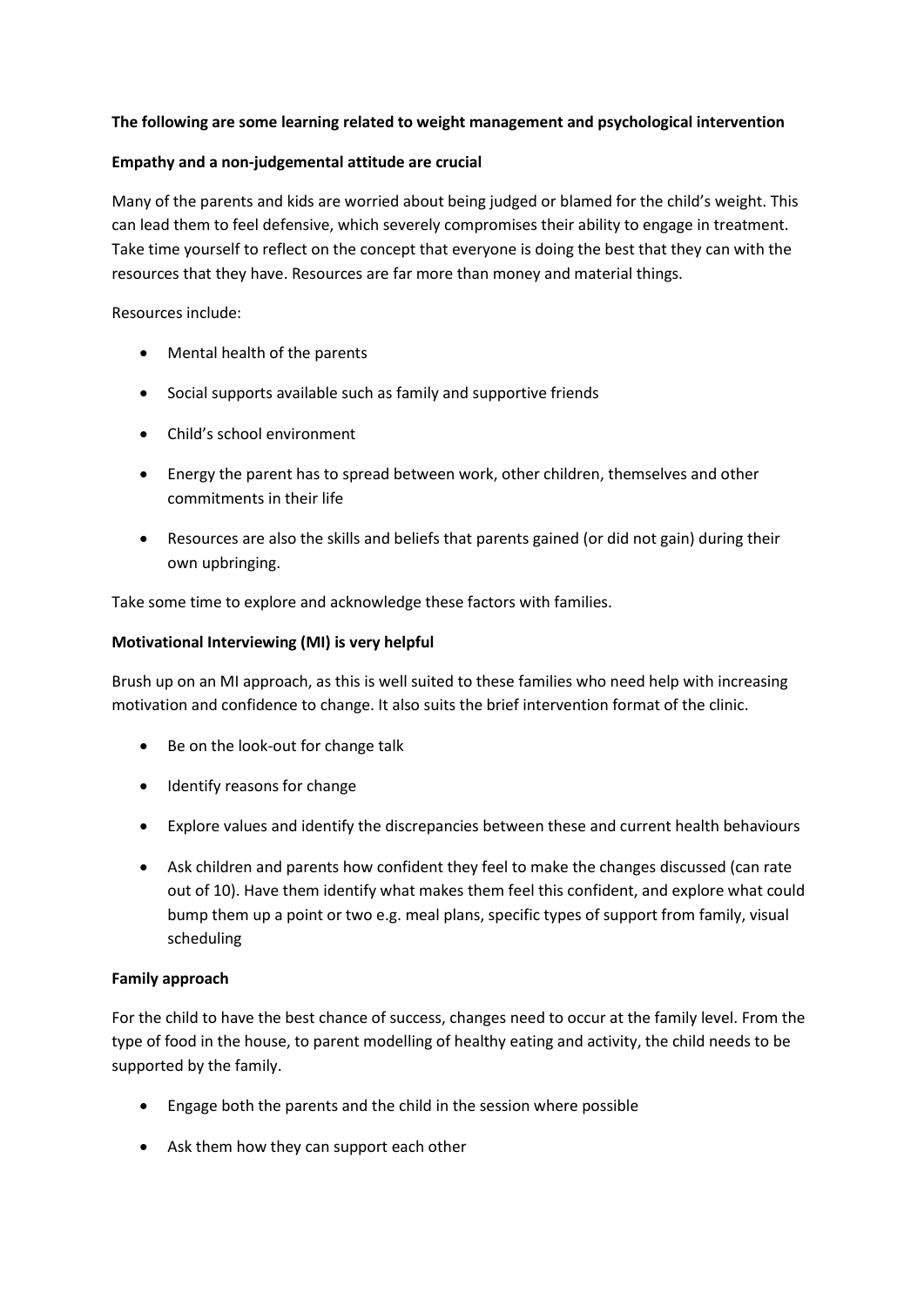## **The following are some learning related to weight management and psychological intervention**

### **Empathy and a non-judgemental attitude are crucial**

Many of the parents and kids are worried about being judged or blamed for the child's weight. This can lead them to feel defensive, which severely compromises their ability to engage in treatment. Take time yourself to reflect on the concept that everyone is doing the best that they can with the resources that they have. Resources are far more than money and material things.

Resources include:

- Mental health of the parents
- Social supports available such as family and supportive friends
- Child's school environment
- Energy the parent has to spread between work, other children, themselves and other commitments in their life
- Resources are also the skills and beliefs that parents gained (or did not gain) during their own upbringing.

Take some time to explore and acknowledge these factors with families.

### **Motivational Interviewing (MI) is very helpful**

Brush up on an MI approach, as this is well suited to these families who need help with increasing motivation and confidence to change. It also suits the brief intervention format of the clinic.

- Be on the look-out for change talk
- Identify reasons for change
- Explore values and identify the discrepancies between these and current health behaviours
- Ask children and parents how confident they feel to make the changes discussed (can rate out of 10). Have them identify what makes them feel this confident, and explore what could bump them up a point or two e.g. meal plans, specific types of support from family, visual scheduling

## **Family approach**

For the child to have the best chance of success, changes need to occur at the family level. From the type of food in the house, to parent modelling of healthy eating and activity, the child needs to be supported by the family.

- Engage both the parents and the child in the session where possible
- Ask them how they can support each other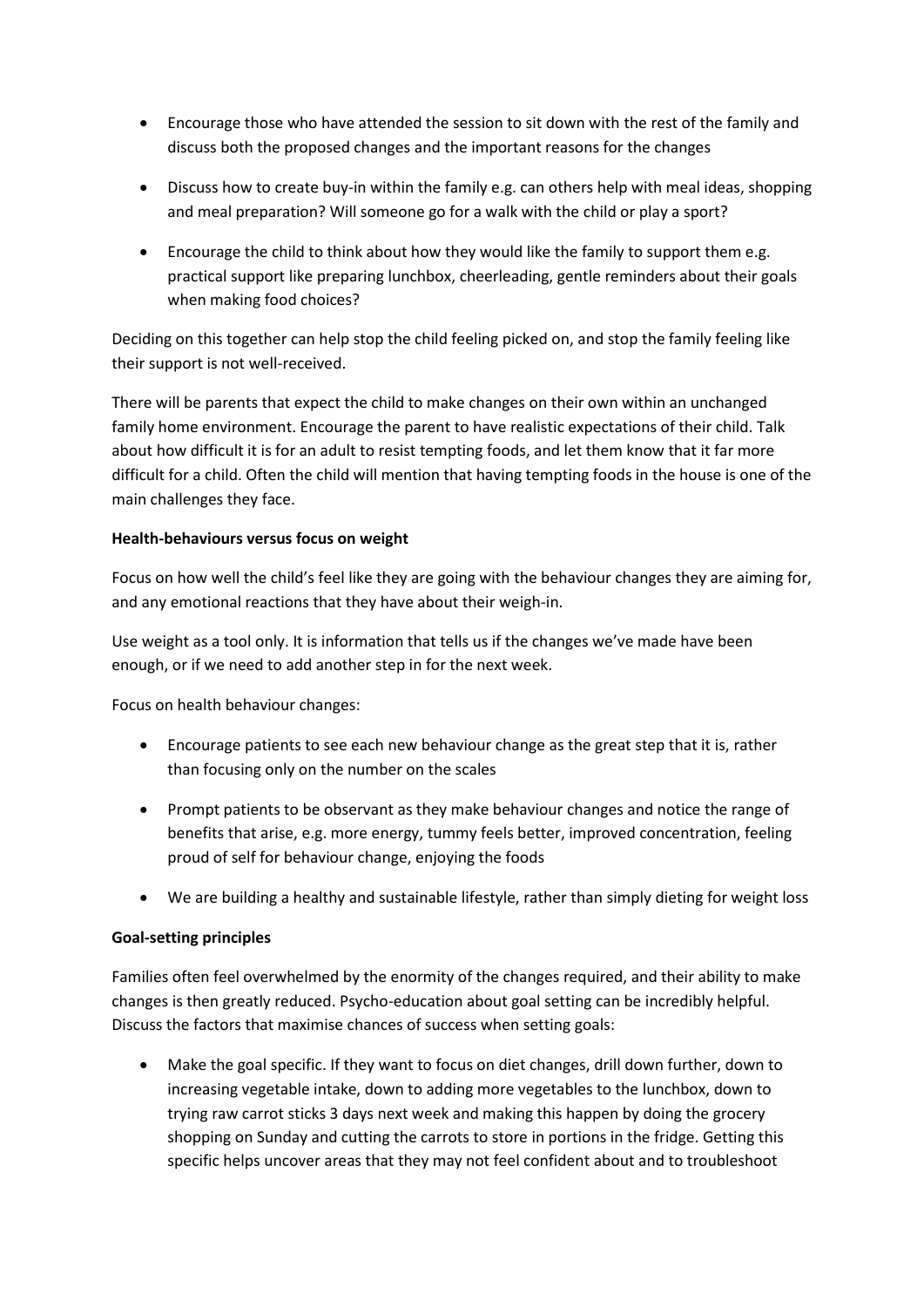- Encourage those who have attended the session to sit down with the rest of the family and discuss both the proposed changes and the important reasons for the changes
- Discuss how to create buy-in within the family e.g. can others help with meal ideas, shopping and meal preparation? Will someone go for a walk with the child or play a sport?
- Encourage the child to think about how they would like the family to support them e.g. practical support like preparing lunchbox, cheerleading, gentle reminders about their goals when making food choices?

Deciding on this together can help stop the child feeling picked on, and stop the family feeling like their support is not well-received.

There will be parents that expect the child to make changes on their own within an unchanged family home environment. Encourage the parent to have realistic expectations of their child. Talk about how difficult it is for an adult to resist tempting foods, and let them know that it far more difficult for a child. Often the child will mention that having tempting foods in the house is one of the main challenges they face.

# **Health-behaviours versus focus on weight**

Focus on how well the child's feel like they are going with the behaviour changes they are aiming for, and any emotional reactions that they have about their weigh-in.

Use weight as a tool only. It is information that tells us if the changes we've made have been enough, or if we need to add another step in for the next week.

Focus on health behaviour changes:

- Encourage patients to see each new behaviour change as the great step that it is, rather than focusing only on the number on the scales
- Prompt patients to be observant as they make behaviour changes and notice the range of benefits that arise, e.g. more energy, tummy feels better, improved concentration, feeling proud of self for behaviour change, enjoying the foods
- We are building a healthy and sustainable lifestyle, rather than simply dieting for weight loss

# **Goal-setting principles**

Families often feel overwhelmed by the enormity of the changes required, and their ability to make changes is then greatly reduced. Psycho-education about goal setting can be incredibly helpful. Discuss the factors that maximise chances of success when setting goals:

 Make the goal specific. If they want to focus on diet changes, drill down further, down to increasing vegetable intake, down to adding more vegetables to the lunchbox, down to trying raw carrot sticks 3 days next week and making this happen by doing the grocery shopping on Sunday and cutting the carrots to store in portions in the fridge. Getting this specific helps uncover areas that they may not feel confident about and to troubleshoot